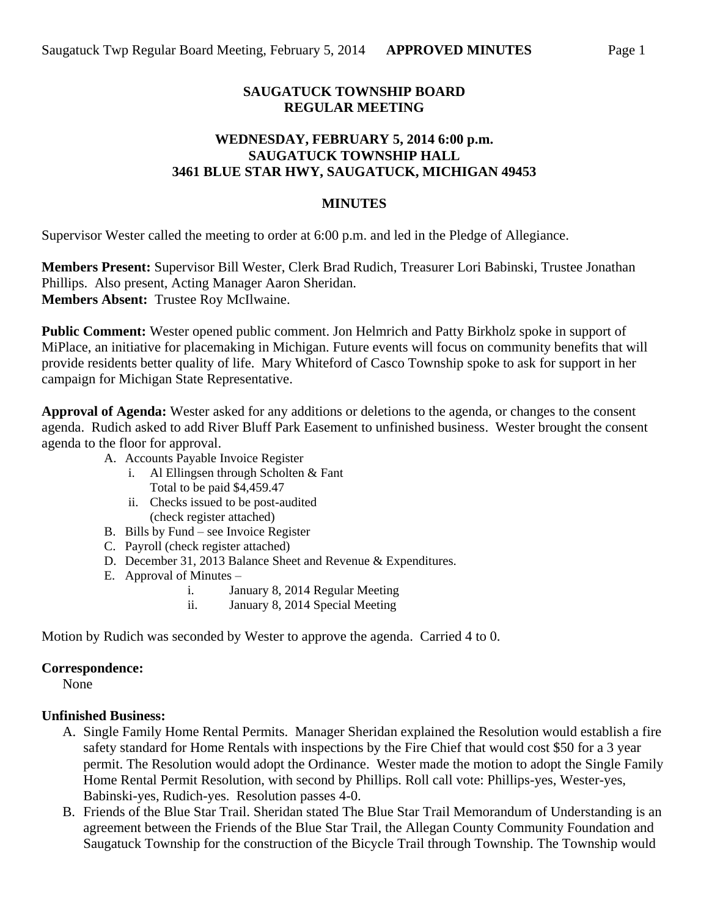#### **SAUGATUCK TOWNSHIP BOARD REGULAR MEETING**

### **WEDNESDAY, FEBRUARY 5, 2014 6:00 p.m. SAUGATUCK TOWNSHIP HALL 3461 BLUE STAR HWY, SAUGATUCK, MICHIGAN 49453**

#### **MINUTES**

Supervisor Wester called the meeting to order at 6:00 p.m. and led in the Pledge of Allegiance.

**Members Present:** Supervisor Bill Wester, Clerk Brad Rudich, Treasurer Lori Babinski, Trustee Jonathan Phillips. Also present, Acting Manager Aaron Sheridan. **Members Absent:** Trustee Roy McIlwaine.

**Public Comment:** Wester opened public comment. Jon Helmrich and Patty Birkholz spoke in support of MiPlace, an initiative for placemaking in Michigan. Future events will focus on community benefits that will provide residents better quality of life. Mary Whiteford of Casco Township spoke to ask for support in her campaign for Michigan State Representative.

**Approval of Agenda:** Wester asked for any additions or deletions to the agenda, or changes to the consent agenda. Rudich asked to add River Bluff Park Easement to unfinished business. Wester brought the consent agenda to the floor for approval.

- A. Accounts Payable Invoice Register
	- i. Al Ellingsen through Scholten & Fant Total to be paid \$4,459.47
	- ii. Checks issued to be post-audited (check register attached)
- B. Bills by Fund see Invoice Register
- C. Payroll (check register attached)
- D. December 31, 2013 Balance Sheet and Revenue & Expenditures.
- E. Approval of Minutes
	- i. January 8, 2014 Regular Meeting
	- ii. January 8, 2014 Special Meeting

Motion by Rudich was seconded by Wester to approve the agenda. Carried 4 to 0.

#### **Correspondence:**

None

# **Unfinished Business:**

- A. Single Family Home Rental Permits. Manager Sheridan explained the Resolution would establish a fire safety standard for Home Rentals with inspections by the Fire Chief that would cost \$50 for a 3 year permit. The Resolution would adopt the Ordinance. Wester made the motion to adopt the Single Family Home Rental Permit Resolution, with second by Phillips. Roll call vote: Phillips-yes, Wester-yes, Babinski-yes, Rudich-yes. Resolution passes 4-0.
- B. Friends of the Blue Star Trail. Sheridan stated The Blue Star Trail Memorandum of Understanding is an agreement between the Friends of the Blue Star Trail, the Allegan County Community Foundation and Saugatuck Township for the construction of the Bicycle Trail through Township. The Township would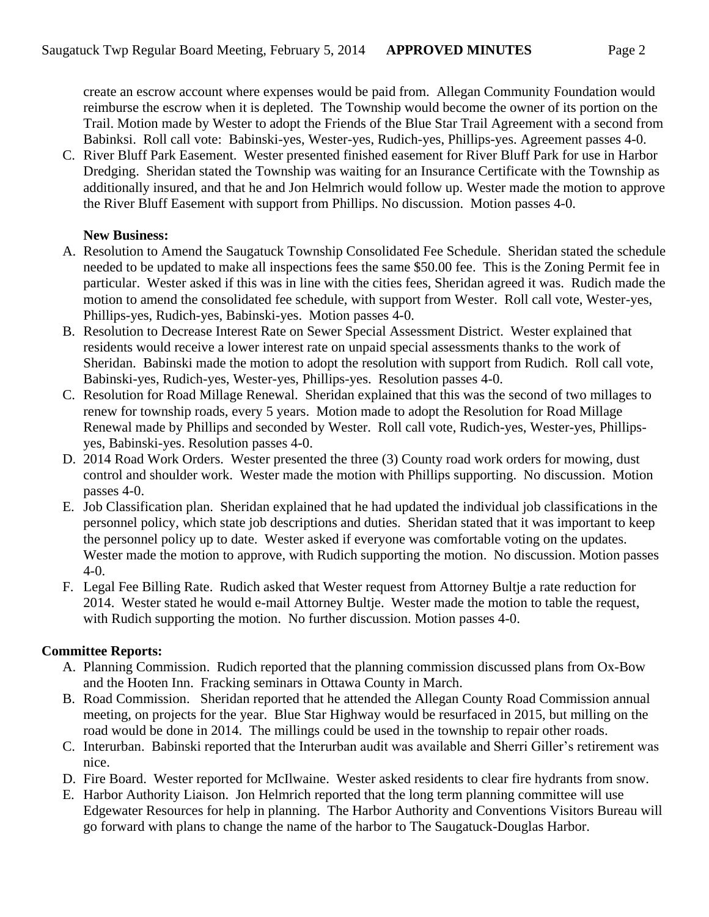create an escrow account where expenses would be paid from. Allegan Community Foundation would reimburse the escrow when it is depleted. The Township would become the owner of its portion on the Trail. Motion made by Wester to adopt the Friends of the Blue Star Trail Agreement with a second from Babinksi. Roll call vote: Babinski-yes, Wester-yes, Rudich-yes, Phillips-yes. Agreement passes 4-0.

C. River Bluff Park Easement. Wester presented finished easement for River Bluff Park for use in Harbor Dredging. Sheridan stated the Township was waiting for an Insurance Certificate with the Township as additionally insured, and that he and Jon Helmrich would follow up. Wester made the motion to approve the River Bluff Easement with support from Phillips. No discussion. Motion passes 4-0.

## **New Business:**

- A. Resolution to Amend the Saugatuck Township Consolidated Fee Schedule. Sheridan stated the schedule needed to be updated to make all inspections fees the same \$50.00 fee. This is the Zoning Permit fee in particular. Wester asked if this was in line with the cities fees, Sheridan agreed it was. Rudich made the motion to amend the consolidated fee schedule, with support from Wester. Roll call vote, Wester-yes, Phillips-yes, Rudich-yes, Babinski-yes. Motion passes 4-0.
- B. Resolution to Decrease Interest Rate on Sewer Special Assessment District. Wester explained that residents would receive a lower interest rate on unpaid special assessments thanks to the work of Sheridan. Babinski made the motion to adopt the resolution with support from Rudich. Roll call vote, Babinski-yes, Rudich-yes, Wester-yes, Phillips-yes. Resolution passes 4-0.
- C. Resolution for Road Millage Renewal. Sheridan explained that this was the second of two millages to renew for township roads, every 5 years. Motion made to adopt the Resolution for Road Millage Renewal made by Phillips and seconded by Wester. Roll call vote, Rudich-yes, Wester-yes, Phillipsyes, Babinski-yes. Resolution passes 4-0.
- D. 2014 Road Work Orders. Wester presented the three (3) County road work orders for mowing, dust control and shoulder work. Wester made the motion with Phillips supporting. No discussion. Motion passes 4-0.
- E. Job Classification plan. Sheridan explained that he had updated the individual job classifications in the personnel policy, which state job descriptions and duties. Sheridan stated that it was important to keep the personnel policy up to date. Wester asked if everyone was comfortable voting on the updates. Wester made the motion to approve, with Rudich supporting the motion. No discussion. Motion passes 4-0.
- F. Legal Fee Billing Rate. Rudich asked that Wester request from Attorney Bultje a rate reduction for 2014. Wester stated he would e-mail Attorney Bultje. Wester made the motion to table the request, with Rudich supporting the motion. No further discussion. Motion passes 4-0.

## **Committee Reports:**

- A. Planning Commission. Rudich reported that the planning commission discussed plans from Ox-Bow and the Hooten Inn. Fracking seminars in Ottawa County in March.
- B. Road Commission. Sheridan reported that he attended the Allegan County Road Commission annual meeting, on projects for the year. Blue Star Highway would be resurfaced in 2015, but milling on the road would be done in 2014. The millings could be used in the township to repair other roads.
- C. Interurban. Babinski reported that the Interurban audit was available and Sherri Giller's retirement was nice.
- D. Fire Board. Wester reported for McIlwaine. Wester asked residents to clear fire hydrants from snow.
- E. Harbor Authority Liaison. Jon Helmrich reported that the long term planning committee will use Edgewater Resources for help in planning. The Harbor Authority and Conventions Visitors Bureau will go forward with plans to change the name of the harbor to The Saugatuck-Douglas Harbor.